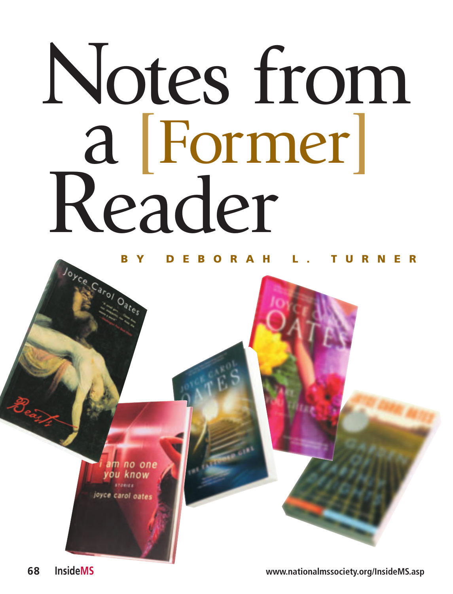## Notes from a [Former] Reader

## **BY DEBORAH L. TURNER**

<mark>am no one</mark><br>rou know joyce carol oates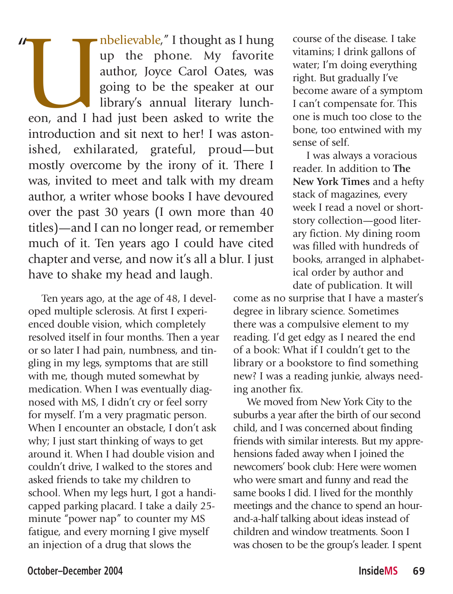The Phone. My favorite author, Joyce Carol Oates, was going to be the speaker at our library's annual literary luncheon, and I had just been asked to write the up the phone. My favorite author, Joyce Carol Oates, was going to be the speaker at our library's annual literary luncheon, and I had just been asked to write the introduction and sit next to her! I was astonished, exhilarated, grateful, proud—but mostly overcome by the irony of it. There I was, invited to meet and talk with my dream author, a writer whose books I have devoured over the past 30 years (I own more than 40 titles)—and I can no longer read, or remember much of it. Ten years ago I could have cited chapter and verse, and now it's all a blur. I just have to shake my head and laugh. "

Ten years ago, at the age of 48, I developed multiple sclerosis. At first I experienced double vision, which completely resolved itself in four months. Then a year or so later I had pain, numbness, and tingling in my legs, symptoms that are still with me, though muted somewhat by medication. When I was eventually diagnosed with MS, I didn't cry or feel sorry for myself. I'm a very pragmatic person. When I encounter an obstacle. I don't ask why; I just start thinking of ways to get around it. When I had double vision and couldn't drive, I walked to the stores and asked friends to take my children to school. When my legs hurt, I got a handicapped parking placard. I take a daily 25 minute "power nap" to counter my MS fatigue, and every morning I give myself an injection of a drug that slows the

course of the disease. I take vitamins; I drink gallons of water; I'm doing everything right. But gradually I've become aware of a symptom I can't compensate for. This one is much too close to the bone, too entwined with my sense of self.

I was always a voracious reader. In addition to **The New York Times** and a hefty stack of magazines, every week I read a novel or shortstory collection—good literary fiction. My dining room was filled with hundreds of books, arranged in alphabetical order by author and date of publication. It will

come as no surprise that I have a master's degree in library science. Sometimes there was a compulsive element to my reading. I'd get edgy as I neared the end of a book: What if I couldn't get to the library or a bookstore to find something new? I was a reading junkie, always needing another fix.

We moved from New York City to the suburbs a year after the birth of our second child, and I was concerned about finding friends with similar interests. But my apprehensions faded away when I joined the newcomers' book club: Here were women who were smart and funny and read the same books I did. I lived for the monthly meetings and the chance to spend an hourand-a-half talking about ideas instead of children and window treatments. Soon I was chosen to be the group's leader. I spent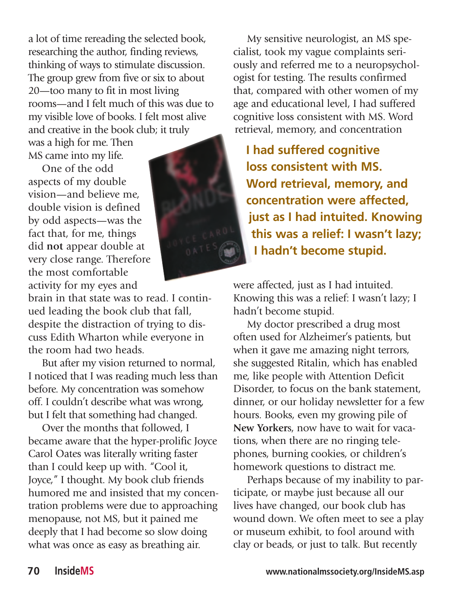a lot of time rereading the selected book, researching the author, finding reviews, thinking of ways to stimulate discussion. The group grew from five or six to about 20—too many to fit in most living rooms—and I felt much of this was due to my visible love of books. I felt most alive and creative in the book club; it truly

was a high for me. Then MS came into my life.

One of the odd aspects of my double vision—and believe me, double vision is defined by odd aspects—was the fact that, for me, things did **not** appear double at very close range. Therefore the most comfortable activity for my eyes and

brain in that state was to read. I continued leading the book club that fall, despite the distraction of trying to discuss Edith Wharton while everyone in the room had two heads.

But after my vision returned to normal, I noticed that I was reading much less than before. My concentration was somehow off. I couldn't describe what was wrong, but I felt that something had changed.

Over the months that followed, I became aware that the hyper-prolific Joyce Carol Oates was literally writing faster than I could keep up with. "Cool it, Joyce," I thought. My book club friends humored me and insisted that my concentration problems were due to approaching menopause, not MS, but it pained me deeply that I had become so slow doing what was once as easy as breathing air.



My sensitive neurologist, an MS specialist, took my vague complaints seriously and referred me to a neuropsychologist for testing. The results confirmed that, compared with other women of my age and educational level, I had suffered cognitive loss consistent with MS. Word retrieval, memory, and concentration

**I had suffered cognitive loss consistent with MS. Word retrieval, memory, and concentration were affected, just as I had intuited. Knowing this was a relief: I wasn't lazy; I hadn't become stupid.** 

were affected, just as I had intuited. Knowing this was a relief: I wasn't lazy; I hadn't become stupid.

My doctor prescribed a drug most often used for Alzheimer's patients, but when it gave me amazing night terrors, she suggested Ritalin, which has enabled me, like people with Attention Deficit Disorder, to focus on the bank statement, dinner, or our holiday newsletter for a few hours. Books, even my growing pile of **New Yorker**s, now have to wait for vacations, when there are no ringing telephones, burning cookies, or children's homework questions to distract me.

Perhaps because of my inability to participate, or maybe just because all our lives have changed, our book club has wound down. We often meet to see a play or museum exhibit, to fool around with clay or beads, or just to talk. But recently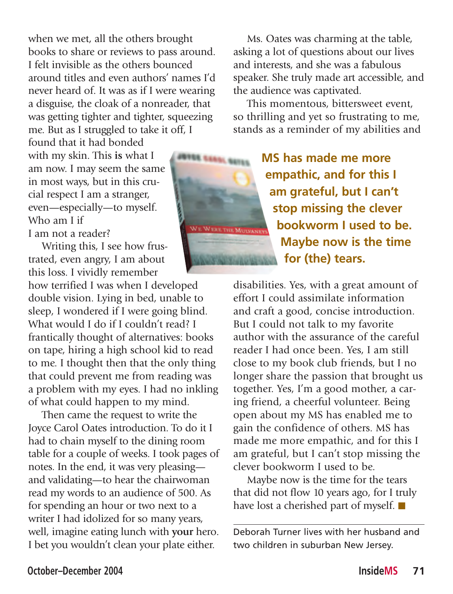when we met, all the others brought books to share or reviews to pass around. I felt invisible as the others bounced around titles and even authors' names I'd never heard of. It was as if I were wearing a disguise, the cloak of a nonreader, that was getting tighter and tighter, squeezing me. But as I struggled to take it off, I

found that it had bonded with my skin. This **is** what I am now. I may seem the same in most ways, but in this crucial respect I am a stranger, even—especially—to myself. Who am I if

I am not a reader?

Writing this, I see how frustrated, even angry, I am about this loss. I vividly remember

how terrified I was when I developed double vision. Lying in bed, unable to sleep, I wondered if I were going blind. What would I do if I couldn't read? I frantically thought of alternatives: books on tape, hiring a high school kid to read to me. I thought then that the only thing that could prevent me from reading was a problem with my eyes. I had no inkling of what could happen to my mind.

Then came the request to write the Joyce Carol Oates introduction. To do it I had to chain myself to the dining room table for a couple of weeks. I took pages of notes. In the end, it was very pleasing and validating—to hear the chairwoman read my words to an audience of 500. As for spending an hour or two next to a writer I had idolized for so many years, well, imagine eating lunch with **your** hero. I bet you wouldn't clean your plate either.

Ms. Oates was charming at the table, asking a lot of questions about our lives and interests, and she was a fabulous speaker. She truly made art accessible, and the audience was captivated.

This momentous, bittersweet event, so thrilling and yet so frustrating to me, stands as a reminder of my abilities and

> **MS has made me more empathic, and for this I am grateful, but I can't stop missing the clever bookworm I used to be. Maybe now is the time for (the) tears.**

disabilities. Yes, with a great amount of effort I could assimilate information and craft a good, concise introduction. But I could not talk to my favorite author with the assurance of the careful reader I had once been. Yes, I am still close to my book club friends, but I no longer share the passion that brought us together. Yes, I'm a good mother, a caring friend, a cheerful volunteer. Being open about my MS has enabled me to gain the confidence of others. MS has made me more empathic, and for this I am grateful, but I can't stop missing the clever bookworm I used to be.

Maybe now is the time for the tears that did not flow 10 years ago, for I truly have lost a cherished part of myself. ■

Deborah Turner lives with her husband and two children in suburban New Jersey.